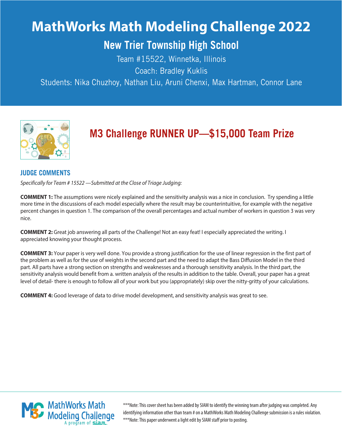# **MathWorks Math Modeling Challenge 2022**

## **New Trier Township High School**

Team #15522, Winnetka, Illinois Coach: Bradley Kuklis

Students: Nika Chuzhoy, Nathan Liu, Aruni Chenxi, Max Hartman, Connor Lane



## **M3 Challenge RUNNER UP—\$15,OOO Team Prize**

## **JUDGE COMMENTS**

Specifically for Team # 15522 —Submitted at the Close of Triage Judging:

**COMMENT 1:** The assumptions were nicely explained and the sensitivity analysis was a nice in conclusion. Try spending a little more time in the discussions of each model especially where the result may be counterintuitive, for example with the negative percent changes in question 1. The comparison of the overall percentages and actual number of workers in question 3 was very nice.

**COMMENT 2:** Great job answering all parts of the Challenge! Not an easy feat! I especially appreciated the writing. I appreciated knowing your thought process.

**COMMENT 3:** Your paper is very well done. You provide a strong justification for the use of linear regression in the first part of the problem as well as for the use of weights in the second part and the need to adapt the Bass Diffusion Model in the third part. All parts have a strong section on strengths and weaknesses and a thorough sensitivity analysis. In the third part, the sensitivity analysis would benefit from a. written analysis of the results in addition to the table. Overall, your paper has a great level of detail- there is enough to follow all of your work but you (appropriately) skip over the nitty-gritty of your calculations.

**COMMENT 4:** Good leverage of data to drive model development, and sensitivity analysis was great to see.



\*\*\*Note: This cover sheet has been added by SIAM to identify the winning team after judging was completed. Any identifying information other than team # on a MathWorks Math Modeling Challenge submission is a rules violation. \*\*\*Note: This paper underwent a light edit by SIAM staff prior to posting.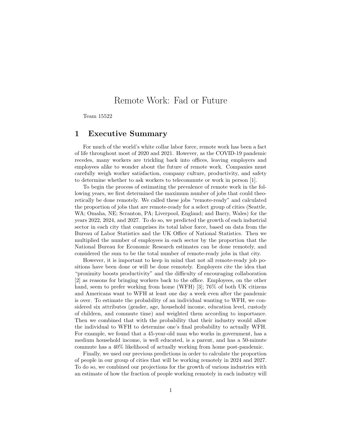## Remote Work: Fad or Future

Team 15522

#### <span id="page-1-0"></span>1 Executive Summary

For much of the world's white collar labor force, remote work has been a fact of life throughout most of 2020 and 2021. However, as the COVID-19 pandemic recedes, many workers are trickling back into offices, leaving employers and employees alike to wonder about the future of remote work. Companies must carefully weigh worker satisfaction, company culture, productivity, and safety to determine whether to ask workers to telecommute or work in person [1].

To begin the process of estimating the prevalence of remote work in the following years, we first determined the maximum number of jobs that could theoretically be done remotely. We called these jobs "remote-ready" and calculated the proportion of jobs that are remote-ready for a select group of cities (Seattle, WA; Omaha, NE; Scranton, PA; Liverpool, England; and Barry, Wales) for the years 2022, 2024, and 2027. To do so, we predicted the growth of each industrial sector in each city that comprises its total labor force, based on data from the Bureau of Labor Statistics and the UK Office of National Statistics. Then we multiplied the number of employees in each sector by the proportion that the National Bureau for Economic Research estimates can be done remotely, and considered the sum to be the total number of remote-ready jobs in that city.

However, it is important to keep in mind that not all remote-ready job positions have been done or will be done remotely. Employers cite the idea that "proximity boosts productivity" and the difficulty of encouraging collaboration [2] as reasons for bringing workers back to the office. Employees, on the other hand, seem to prefer working from home (WFH) [3]; 76\% of both UK citizens and Americans want to WFH at least one day a week even after the pandemic is over. To estimate the probability of an individual wanting to WFH, we considered six attributes (gender, age, household income, education level, custody of children, and commute time) and weighted them according to importance. Then we combined that with the probability that their industry would allow the individual to WFH to determine one's final probability to actually WFH. For example, we found that a 45-year-old man who works in government, has a medium household income, is well educated, is a parent, and has a 50-minute commute has a 40% likelihood of actually working from home post-pandemic.

Finally, we used our previous predictions in order to calculate the proportion of people in our group of cities that will be working remotely in 2024 and 2027. To do so, we combined our projections for the growth of various industries with an estimate of how the fraction of people working remotely in each industry will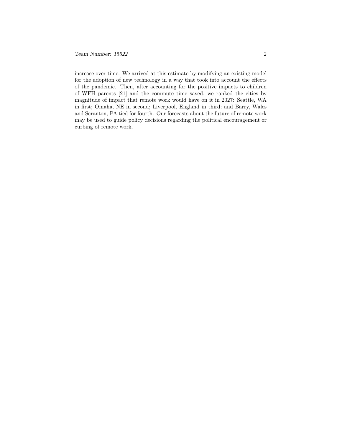increase over time. We arrived at this estimate by modifying an existing model for the adoption of new technology in a way that took into account the effects of the pandemic. Then, after accounting for the positive impacts to children of WFH parents [21] and the commute time saved, we ranked the cities by magnitude of impact that remote work would have on it in 2027: Seattle, WA in first; Omaha, NE in second; Liverpool, England in third; and Barry, Wales and Scranton, PA tied for fourth. Our forecasts about the future of remote work may be used to guide policy decisions regarding the political encouragement or curbing of remote work.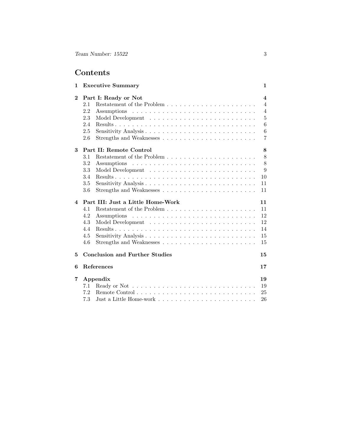## Contents

| $\mathbf{1}$ | <b>Executive Summary</b>              | $\mathbf{1}$            |
|--------------|---------------------------------------|-------------------------|
| $\bf{2}$     | Part I: Ready or Not                  | $\overline{\mathbf{4}}$ |
|              | 2.1                                   | $\overline{4}$          |
|              | 2.2                                   | $\overline{4}$          |
|              | 2.3                                   | $\overline{5}$          |
|              | 2.4                                   | 6                       |
|              | 2.5                                   | 6                       |
|              | 2.6                                   | $\overline{7}$          |
| 3            | Part II: Remote Control               | 8                       |
|              | 3.1                                   | 8                       |
|              | 3.2                                   | 8                       |
|              | 3.3                                   | 9                       |
|              | 3.4                                   | 10                      |
|              | 3.5                                   | 11                      |
|              | 3.6                                   | 11                      |
| 4            | Part III: Just a Little Home-Work     | 11                      |
|              | 4.1                                   | 11                      |
|              | 4.2                                   | 12                      |
|              | 4.3                                   | 12                      |
|              | 4.4                                   | 14                      |
|              | 4.5                                   | 15                      |
|              | 4.6                                   | 15                      |
| 5            | <b>Conclusion and Further Studies</b> | 15                      |
| 6            | References                            | 17                      |
| 7            | Appendix                              | 19                      |
|              | 7.1                                   | 19                      |
|              | 7.2                                   | 25                      |
|              | 7.3                                   | 26                      |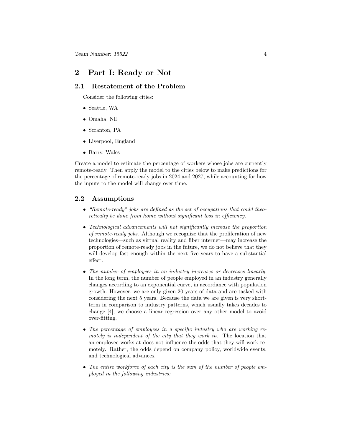### <span id="page-4-0"></span>2 Part I: Ready or Not

#### <span id="page-4-1"></span>2.1 Restatement of the Problem

Consider the following cities:

- Seattle, WA
- Omaha, NE
- Scranton, PA
- Liverpool, England
- Barry, Wales

Create a model to estimate the percentage of workers whose jobs are currently remote-ready. Then apply the model to the cities below to make predictions for the percentage of remote-ready jobs in 2024 and 2027, while accounting for how the inputs to the model will change over time.

#### <span id="page-4-2"></span>2.2 Assumptions

- "Remote-ready" jobs are defined as the set of occupations that could theoretically be done from home without significant loss in efficiency.
- Technological advancements will not significantly increase the proportion of remote-ready jobs. Although we recognize that the proliferation of new technologies—such as virtual reality and fiber internet—may increase the proportion of remote-ready jobs in the future, we do not believe that they will develop fast enough within the next five years to have a substantial effect.
- The number of employees in an industry increases or decreases linearly. In the long term, the number of people employed in an industry generally changes according to an exponential curve, in accordance with population growth. However, we are only given 20 years of data and are tasked with considering the next 5 years. Because the data we are given is very shortterm in comparison to industry patterns, which usually takes decades to change [4], we choose a linear regression over any other model to avoid over-fitting.
- The percentage of employees in a specific industry who are working remotely is independent of the city that they work in. The location that an employee works at does not influence the odds that they will work remotely. Rather, the odds depend on company policy, worldwide events, and technological advances.
- The entire workforce of each city is the sum of the number of people employed in the following industries: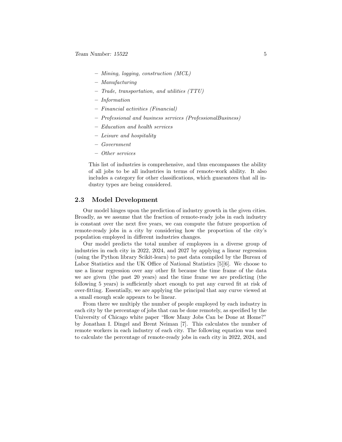- Mining, logging, construction (MCL)
- Manufacturing
- Trade, transportation, and utilities (TTU)
- Information
- Financial activities (Financial)
- Professional and business services (ProfessionalBusiness)
- Education and health services
- Leisure and hospitality
- Government
- Other services

This list of industries is comprehensive, and thus encompasses the ability of all jobs to be all industries in terms of remote-work ability. It also includes a category for other classifications, which guarantees that all industry types are being considered.

#### <span id="page-5-0"></span>2.3 Model Development

Our model hinges upon the prediction of industry growth in the given cities. Broadly, as we assume that the fraction of remote-ready jobs in each industry is constant over the next five years, we can compute the future proportion of remote-ready jobs in a city by considering how the proportion of the city's population employed in different industries changes.

Our model predicts the total number of employees in a diverse group of industries in each city in 2022, 2024, and 2027 by applying a linear regression (using the Python library Scikit-learn) to past data compiled by the Bureau of Labor Statistics and the UK Office of National Statistics [5][6]. We choose to use a linear regression over any other fit because the time frame of the data we are given (the past 20 years) and the time frame we are predicting (the following 5 years) is sufficiently short enough to put any curved fit at risk of over-fitting. Essentially, we are applying the principal that any curve viewed at a small enough scale appears to be linear.

From there we multiply the number of people employed by each industry in each city by the percentage of jobs that can be done remotely, as specified by the University of Chicago white paper "How Many Jobs Can be Done at Home?" by Jonathan I. Dingel and Brent Neiman [7]. This calculates the number of remote workers in each industry of each city. The following equation was used to calculate the percentage of remote-ready jobs in each city in 2022, 2024, and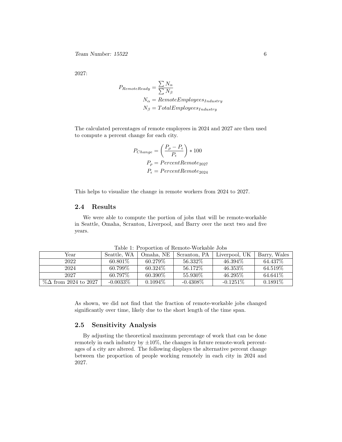2027:

$$
P_{RemoteReady} = \frac{\sum N_{\alpha}}{\sum N_{\beta}}
$$
  

$$
N_{\alpha} = RemoteEmployees_{Industry}
$$
  

$$
N_{\beta} = TotalEmployees_{Industry}
$$

The calculated percentages of remote employees in 2024 and 2027 are then used to compute a percent change for each city.

$$
P_{Change} = \left(\frac{P_{\rho} - P_{\epsilon}}{P_{\epsilon}}\right) * 100
$$

$$
P_{\rho} = PercentRemote_{2027}
$$

$$
P_{\epsilon} = PercentRemote_{2024}
$$

This helps to visualize the change in remote workers from 2024 to 2027.

#### <span id="page-6-0"></span>2.4 Results

We were able to compute the portion of jobs that will be remote-workable in Seattle, Omaha, Scranton, Liverpool, and Barry over the next two and five years.

| Year                         | Seattle, WA | Omaha. NE  | Scranton, PA | Liverpool, UK | Barry, Wales |
|------------------------------|-------------|------------|--------------|---------------|--------------|
| 2022                         | 60.801\%    | $60.279\%$ | 56.332\%     | $46.394\%$    | 64.437\%     |
| 2024                         | 60.799\%    | 60.324\%   | 56.172\%     | $46.353\%$    | 64.519\%     |
| 2027                         | $60.797\%$  | 60.390\%   | 55.930\%     | $46.295\%$    | 64.641\%     |
| $\%\Delta$ from 2024 to 2027 | $-0.0033\%$ | $0.1094\%$ | $-0.4308\%$  | $-0.1251\%$   | $0.1891\%$   |

Table 1: Proportion of Remote-Workable Jobs

As shown, we did not find that the fraction of remote-workable jobs changed significantly over time, likely due to the short length of the time span.

#### <span id="page-6-1"></span>2.5 Sensitivity Analysis

By adjusting the theoretical maximum percentage of work that can be done remotely in each industry by  $\pm 10\%$ , the changes in future remote-work percentages of a city are altered. The following displays the alternative percent change between the proportion of people working remotely in each city in 2024 and 2027.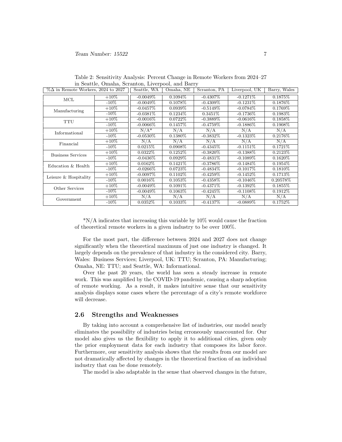| $\%\Delta$ in Remote Workers, 2024 to 2027 |         | Seattle, WA | Omaha, NE  | Scranton, PA | Liverpool, UK | Barry, Wales |
|--------------------------------------------|---------|-------------|------------|--------------|---------------|--------------|
| MCL                                        | $+10\%$ | $-0.0049\%$ | $0.1094\%$ | $-0.4307\%$  | $-0.1271\%$   | 0.1875%      |
|                                            | $-10\%$ | $-0.0049\%$ | 0.1078\%   | $-0.4309\%$  | $-0.1231\%$   | 0.1876\%     |
| Manufacturing                              | $+10\%$ | $-0.0457\%$ | $0.0939\%$ | $-0.5149\%$  | $-0.0784\%$   | 0.1769\%     |
|                                            | $-10\%$ | $-0.0381\%$ | $0.1234\%$ | 0.3451\%     | $-0.1736\%$   | 0.1983\%     |
| <b>TTU</b>                                 | $+10\%$ | $-0.0016\%$ | $0.0722\%$ | $-0.3889\%$  | $-0.0616\%$   | 0.1858\%     |
|                                            | $-10\%$ | $-0.0066\%$ | $0.1457\%$ | $-0.4759\%$  | $-0.1886\%$   | 0.1908\%     |
| Informational                              | $+10\%$ | $N/A^*$     | N/A        | N/A          | N/A           | N/A          |
|                                            | $-10\%$ | $-0.0530\%$ | 0.1380\%   | $-0.3832\%$  | $-0.1323\%$   | 0.2176\%     |
| Financial                                  | $+10\%$ | N/A         | N/A        | N/A          | N/A           | N/A          |
|                                            | $-10\%$ | 0.0215%     | $0.0908\%$ | $-0.4345\%$  | $-0.1151\%$   | $0.1721\%$   |
| <b>Business Services</b>                   | $+10\%$ | $0.0322\%$  | $0.1252\%$ | $-0.3820\%$  | $-0.1388\%$   | 0.2123%      |
|                                            | $-10\%$ | $-0.0436\%$ | $0.0929\%$ | $-0.4831\%$  | $-0.1089\%$   | $0.1620\%$   |
| Education & Health                         | $+10\%$ | $0.0162\%$  | $0.1421\%$ | $-0.3786\%$  | $-0.1484\%$   | $0.1954\%$   |
|                                            | $-10\%$ | $-0.0266\%$ | $0.0723\%$ | $-0.4834\%$  | $-0.1017\%$   | $0.1810\%$   |
| Leisure & Hospitality                      | $+10\%$ | $-0.0097\%$ | $0.1102\%$ | $-0.4259\%$  | $-0.1452\%$   | 0.1713\%     |
|                                            | $-10\%$ | $0.0016\%$  | $0.1053\%$ | $-0.4358\%$  | $-0.1046\%$   | 0.20578\%    |
| Other Services                             | $+10\%$ | $-0.0049\%$ | $0.1091\%$ | $-0.4371\%$  | $-0.1392\%$   | $0.1855\%$   |
|                                            | $-10\%$ | $-0.0049%$  | $0.1063\%$ | $-0.4245\%$  | $-0.1108\%$   | $0.1912\%$   |
| Government                                 | $+10\%$ | N/A         | N/A        | N/A          | N/A           | N/A          |
|                                            | $-10\%$ | $0.0352\%$  | $0.1033\%$ | $-0.4137\%$  | $-0.0889\%$   | $0.1752\%$   |

Table 2: Sensitivity Analysis: Percent Change in Remote Workers from 2024–27 in Seattle, Omaha, Scranton, Liverpool, and Barry

\*N/A indicates that increasing this variable by 10% would cause the fraction of theoretical remote workers in a given industry to be over 100%.

For the most part, the difference between 2024 and 2027 does not change significantly when the theoretical maximum of just one industry is changed. It largely depends on the prevalence of that industry in the considered city. Barry, Wales: Business Services; Liverpool, UK: TTU; Scranton, PA: Manufacturing; Omaha, NE: TTU; and Seattle, WA: Informational.

Over the past 20 years, the world has seen a steady increase in remote work. This was amplified by the COVID-19 pandemic, causing a sharp adoption of remote working. As a result, it makes intuitive sense that our sensitivity analysis displays some cases where the percentage of a city's remote workforce will decrease.

#### <span id="page-7-0"></span>2.6 Strengths and Weaknesses

By taking into account a comprehensive list of industries, our model nearly eliminates the possibility of industries being erroneously unaccounted for. Our model also gives us the flexibility to apply it to additional cities, given only the prior employment data for each industry that composes its labor force. Furthermore, our sensitivity analysis shows that the results from our model are not dramatically affected by changes in the theoretical fraction of an individual industry that can be done remotely.

The model is also adaptable in the sense that observed changes in the future,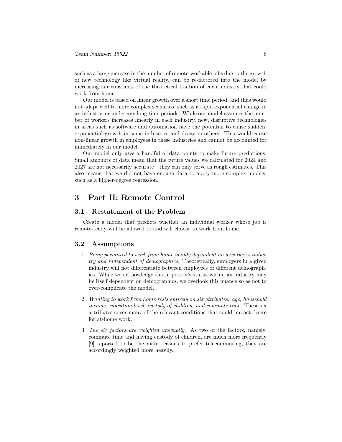such as a large increase in the number of remote-workable jobs due to the growth of new technology like virtual reality, can be re-factored into the model by increasing our constants of the theoretical fraction of each industry that could work from home.

Our model is based on linear growth over a short time period, and thus would not adapt well to more complex scenarios, such as a rapid exponential change in an industry, or under any long time periods. While our model assumes the number of workers increases linearly in each industry, new, disruptive technologies in areas such as software and automation have the potential to cause sudden, exponential growth in some industries and decay in others. This would cause non-linear growth in employees in these industries and cannot be accounted for immediately in our model.

Our model only uses a handful of data points to make future predictions. Small amounts of data mean that the future values we calculated for 2024 and 2027 are not necessarily accurate—they can only serve as rough estimates. This also means that we did not have enough data to apply more complex models, such as a higher-degree regression.

#### <span id="page-8-0"></span>3 Part II: Remote Control

#### <span id="page-8-1"></span>3.1 Restatement of the Problem

Create a model that predicts whether an individual worker whose job is remote-ready will be allowed to and will choose to work from home.

#### <span id="page-8-2"></span>3.2 Assumptions

- 1. Being permitted to work from home is only dependent on a worker's industry and independent of demographics. Theoretically, employers in a given industry will not differentiate between employees of different demographics. While we acknowledge that a person's status within an industry may be itself dependent on demographics, we overlook this nuance so as not to over-complicate the model.
- 2. Wanting to work from home rests entirely on six attributes: age, household income, education level, custody of children, and commute time. These six attributes cover many of the relevant conditions that could impact desire for at-home work.
- 3. The six factors are weighted unequally. As two of the factors, namely, commute time and having custody of children, are much more frequently [9] reported to be the main reasons to prefer telecommuting, they are accordingly weighted more heavily.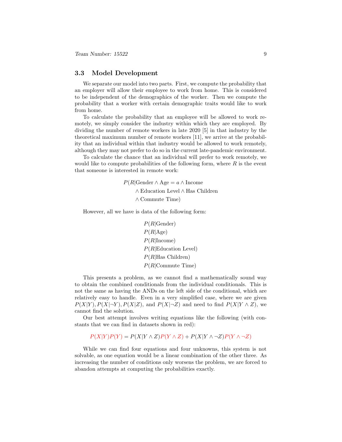#### <span id="page-9-0"></span>3.3 Model Development

We separate our model into two parts. First, we compute the probability that an employer will allow their employee to work from home. This is considered to be independent of the demographics of the worker. Then we compute the probability that a worker with certain demographic traits would like to work from home.

To calculate the probability that an employee will be allowed to work remotely, we simply consider the industry within which they are employed. By dividing the number of remote workers in late 2020 [5] in that industry by the theoretical maximum number of remote workers [11], we arrive at the probability that an individual within that industry would be allowed to work remotely, although they may not prefer to do so in the current late-pandemic environment.

To calculate the chance that an individual will prefer to work remotely, we would like to compute probabilities of the following form, where  $R$  is the event that someone is interested in remote work:

> $P(R|\text{Gender} \wedge \text{Age} = a \wedge \text{Income})$ ∧ Education Level ∧ Has Children ∧ Commute Time)

However, all we have is data of the following form:

 $P(R| \text{Gender})$  $P(R|Age)$  $P(R|\text{Income})$  $P(R| \text{Education Level})$  $P(R|Has Children)$ P(R|Commute Time)

This presents a problem, as we cannot find a mathematically sound way to obtain the combined conditionals from the individual conditionals. This is not the same as having the ANDs on the left side of the conditional, which are relatively easy to handle. Even in a very simplified case, where we are given  $P(X|Y), P(X|\neg Y), P(X|Z),$  and  $P(X|\neg Z)$  and need to find  $P(X|Y \wedge Z),$  we cannot find the solution.

Our best attempt involves writing equations like the following (with constants that we can find in datasets shown in red):

 $P(X|Y)P(Y) = P(X|Y \wedge Z)P(Y \wedge Z) + P(X|Y \wedge \neg Z)P(Y \wedge \neg Z)$ 

While we can find four equations and four unknowns, this system is not solvable, as one equation would be a linear combination of the other three. As increasing the number of conditions only worsens the problem, we are forced to abandon attempts at computing the probabilities exactly.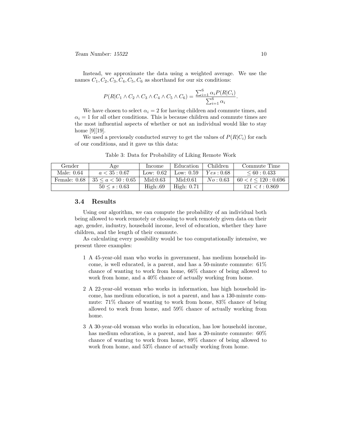Instead, we approximate the data using a weighted average. We use the names  $C_1, C_2, C_3, C_4, C_5, C_6$  as shorthand for our six conditions:

$$
P(R|C_1 \wedge C_2 \wedge C_3 \wedge C_4 \wedge C_5 \wedge C_6) = \frac{\sum_{i=1}^{6} \alpha_i P(R|C_i)}{\sum_{i=1}^{6} \alpha_i}.
$$

We have chosen to select  $\alpha_i = 2$  for having children and commute times, and  $\alpha_i = 1$  for all other conditions. This is because children and commute times are the most influential aspects of whether or not an individual would like to stay home [9][19].

We used a previously conducted survey to get the values of  $P(R|C_i)$  for each of our conditions, and it gave us this data:

| Gender         | Age                      | Income      | Education    | Children  | Commute Time       |
|----------------|--------------------------|-------------|--------------|-----------|--------------------|
| Male: 0.64     | a < 35:0.67              | Low: $0.62$ | Low: $0.59$  | Yes: 0.68 | $\leq 60:0.433$    |
| Female: $0.68$ | $35 \leq a \leq 50:0.65$ | Mid:0.63    | Mid:0.61     | No: 0.63  | 60 < t < 120:0.696 |
|                | $50 \leq s : 0.63$       | High:69     | High: $0.71$ |           | 121 < t : 0.869    |

Table 3: Data for Probability of Liking Remote Work

#### <span id="page-10-0"></span>3.4 Results

Using our algorithm, we can compute the probability of an individual both being allowed to work remotely or choosing to work remotely given data on their age, gender, industry, household income, level of education, whether they have children, and the length of their commute.

As calculating every possibility would be too computationally intensive, we present three examples:

- 1 A 45-year-old man who works in government, has medium household income, is well educated, is a parent, and has a 50-minute commute:  $61\%$ chance of wanting to work from home, 66% chance of being allowed to work from home, and a 40% chance of actually working from home.
- 2 A 22-year-old woman who works in information, has high household income, has medium education, is not a parent, and has a 130-minute commute: 71% chance of wanting to work from home, 83% chance of being allowed to work from home, and 59% chance of actually working from home.
- 3 A 30-year-old woman who works in education, has low household income, has medium education, is a parent, and has a 20-minute commute: 60% chance of wanting to work from home, 89% chance of being allowed to work from home, and 53% chance of actually working from home.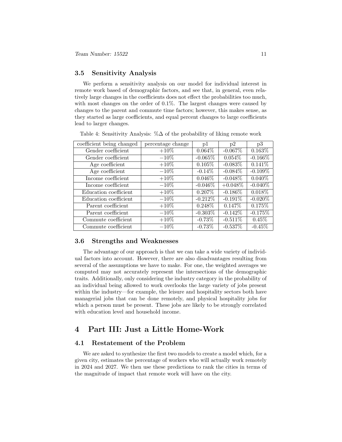#### <span id="page-11-0"></span>3.5 Sensitivity Analysis

We perform a sensitivity analysis on our model for individual interest in remote work based of demographic factors, and see that, in general, even relatively large changes in the coefficients does not effect the probabilities too much, with most changes on the order of 0.1%. The largest changes were caused by changes to the parent and commute time factors; however, this makes sense, as they started as large coefficients, and equal percent changes to large coefficients lead to larger changes.

| coefficient being changed | percentage change | p1         | p2         | p3         |
|---------------------------|-------------------|------------|------------|------------|
| Gender coefficient        | $+10\%$           | $0.064\%$  | $-0.067\%$ | $0.163\%$  |
| Gender coefficient        | $-10\%$           | $-0.065%$  | $0.054\%$  | $-0.166\%$ |
| Age coefficient           | $+10\%$           | 0.105%     | $-0.083\%$ | $0.141\%$  |
| Age coefficient           | $-10\%$           | $-0.14\%$  | $-0.084\%$ | $-0.109\%$ |
| Income coefficient        | $+10\%$           | $0.046\%$  | $-0.048\%$ | $0.040\%$  |
| Income coefficient        | $-10\%$           | $-0.046\%$ | $+0.048\%$ | $-0.040\%$ |
| Education coefficient     | $+10\%$           | $0.207\%$  | $-0.186\%$ | $0.018\%$  |
| Education coefficient     | $-10\%$           | $-0.212%$  | $-0.191%$  | $-0.020\%$ |
| Parent coefficient        | $+10\%$           | $0.248\%$  | $0.147\%$  | 0.175%     |
| Parent coefficient        | $-10%$            | $-0.303\%$ | $-0.142\%$ | $-0.175%$  |
| Commute coefficient       | $+10\%$           | $-0.73\%$  | $-0.511%$  | $0.45\%$   |
| Commute coefficient       | $-10\%$           | $-0.73%$   | $-0.537%$  | $-0.45%$   |

Table 4: Sensitivity Analysis: %∆ of the probability of liking remote work

#### <span id="page-11-1"></span>3.6 Strengths and Weaknesses

The advantage of our approach is that we can take a wide variety of individual factors into account. However, there are also disadvantages resulting from several of the assumptions we have to make. For one, the weighted averages we computed may not accurately represent the intersections of the demographic traits. Additionally, only considering the industry category in the probability of an individual being allowed to work overlooks the large variety of jobs present within the industry—for example, the leisure and hospitality sectors both have managerial jobs that can be done remotely, and physical hospitality jobs for which a person must be present. These jobs are likely to be strongly correlated with education level and household income.

## <span id="page-11-2"></span>4 Part III: Just a Little Home-Work

#### <span id="page-11-3"></span>4.1 Restatement of the Problem

We are asked to synthesize the first two models to create a model which, for a given city, estimates the percentage of workers who will actually work remotely in 2024 and 2027. We then use these predictions to rank the cities in terms of the magnitude of impact that remote work will have on the city.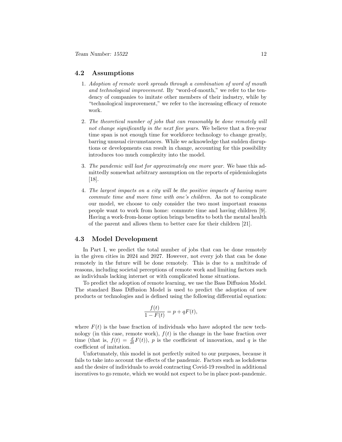#### <span id="page-12-0"></span>4.2 Assumptions

- 1. Adoption of remote work spreads through a combination of word of mouth and technological improvement. By "word-of-mouth," we refer to the tendency of companies to imitate other members of their industry, while by "technological improvement," we refer to the increasing efficacy of remote work.
- 2. The theoretical number of jobs that can reasonably be done remotely will not change significantly in the next five years. We believe that a five-year time span is not enough time for workforce technology to change greatly, barring unusual circumstances. While we acknowledge that sudden disruptions or developments can result in change, accounting for this possibility introduces too much complexity into the model.
- 3. The pandemic will last for approximately one more year. We base this admittedly somewhat arbitrary assumption on the reports of epidemiologists [18].
- 4. The largest impacts on a city will be the positive impacts of having more commute time and more time with one's children. As not to complicate our model, we choose to only consider the two most important reasons people want to work from home: commute time and having children [9]. Having a work-from-home option brings benefits to both the mental health of the parent and allows them to better care for their children [21].

#### <span id="page-12-1"></span>4.3 Model Development

In Part I, we predict the total number of jobs that can be done remotely in the given cities in 2024 and 2027. However, not every job that can be done remotely in the future will be done remotely. This is due to a multitude of reasons, including societal perceptions of remote work and limiting factors such as individuals lacking internet or with complicated home situations.

To predict the adoption of remote learning, we use the Bass Diffusion Model. The standard Bass Diffusion Model is used to predict the adoption of new products or technologies and is defined using the following differential equation:

$$
\frac{f(t)}{1 - F(t)} = p + qF(t),
$$

where  $F(t)$  is the base fraction of individuals who have adopted the new technology (in this case, remote work),  $f(t)$  is the change in the base fraction over time (that is,  $f(t) = \frac{d}{dt}F(t)$ ), p is the coefficient of innovation, and q is the coefficient of imitation.

Unfortunately, this model is not perfectly suited to our purposes, because it fails to take into account the effects of the pandemic. Factors such as lockdowns and the desire of individuals to avoid contracting Covid-19 resulted in additional incentives to go remote, which we would not expect to be in place post-pandemic.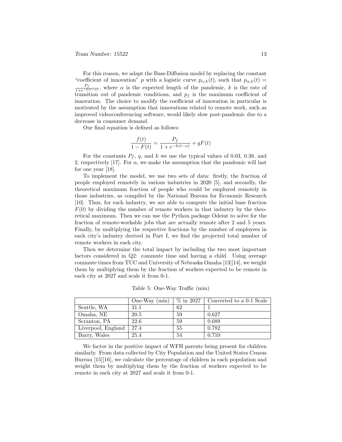For this reason, we adapt the Bass-Diffusion model by replacing the constant "coefficient of innovation" p with a logistic curve  $p_{\alpha,k}(t)$ , such that  $p_{\alpha,k}(t)$  =  $P_f$  $\frac{r_f}{1+e^{-k(t-\alpha)}}$ , where  $\alpha$  is the expected length of the pandemic, k is the rate of transition out of pandemic conditions, and  $p_f$  is the maximum coefficient of innovation. The choice to modify the coefficient of innovation in particular is motivated by the assumption that innovations related to remote work, such as improved videoconferencing software, would likely slow post-pandemic due to a decrease in consumer demand.

Our final equation is defined as follows:

$$
\frac{f(t)}{1 - F(t)} = \frac{P_f}{1 + e^{-k(t - \alpha)}} + qF(t)
$$

For the constants  $P_f$ , q, and k we use the typical values of 0.03, 0.38, and 2, respectively [17]. For  $\alpha$ , we make the assumption that the pandemic will last for one year [18].

To implement the model, we use two sets of data: firstly, the fraction of people employed remotely in various industries in 2020 [5], and secondly, the theoretical maximum fraction of people who could be employed remotely in those industries, as compiled by the National Bureau for Economic Research [10]. Thus, for each industry, we are able to compute the initial base fraction  $F(0)$  by dividing the number of remote workers in that industry by the theoretical maximum. Then we can use the Python package Odeint to solve for the fraction of remote-workable jobs that are actually remote after 2 and 5 years. Finally, by multiplying the respective fractions by the number of employees in each city's industry derived in Part I, we find the projected total number of remote workers in each city.

Then we determine the total impact by including the two most important factors considered in Q2: commute time and having a child. Using average commute times from TUC and University of Nebraska Omaha [13][14], we weight them by multiplying them by the fraction of workers expected to be remote in each city at 2027 and scale it from 0-1.

|                    | One-Way $(min)$ | $\%$ in 2027 | Converted to a 0-1 Scale |
|--------------------|-----------------|--------------|--------------------------|
| Seattle, WA        | 31.1            | 62           |                          |
| Omaha, NE          | 20.5            | 59           | 0.627                    |
| Scranton, PA       | 22.6            | 59           | 0.689                    |
| Liverpool, England | 27.4            | 55           | 0.782                    |
| Barry, Wales       | 25.4            | 54           | 0.710                    |

Table 5: One-Way Traffic (min)

We factor in the positive impact of WFH parents being present for children similarly. From data collected by City Population and the United States Census Bureau [15][16], we calculate the percentage of children in each population and weight them by multiplying them by the fraction of workers expected to be remote in each city at 2027 and scale it from 0-1.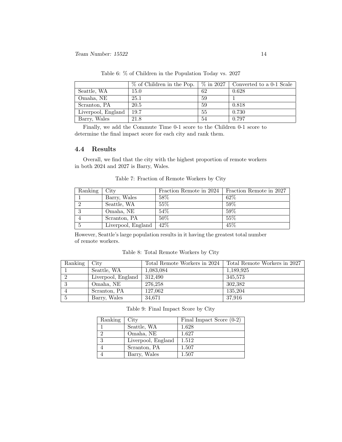|                    | % of Children in the Pop. | $\%$ in 2027 | Converted to a 0-1 Scale |
|--------------------|---------------------------|--------------|--------------------------|
| Seattle, WA        | 15.0                      | 62           | 0.628                    |
| Omaha, NE          | 25.1                      | 59           |                          |
| Scranton, PA       | 20.5                      | 59           | 0.818                    |
| Liverpool, England | 19.7                      | 55           | 0.730                    |
| Barry, Wales       | 21.8                      | 54           | 0.797                    |

Table 6: % of Children in the Population Today vs. 2027

Finally, we add the Commute Time 0-1 score to the Children 0-1 score to determine the final impact score for each city and rank them.

#### <span id="page-14-0"></span>4.4 Results

Overall, we find that the city with the highest proportion of remote workers in both 2024 and 2027 is Barry, Wales.

| Ranking | City               | Fraction Remote in 2024 | Fraction Remote in 2027 |
|---------|--------------------|-------------------------|-------------------------|
|         | Barry, Wales       | 58\%                    | $62\%$                  |
|         | Seattle, WA        | $55\%$                  | 59%                     |
|         | Omaha, NE          | $54\%$                  | 59%                     |
|         | Scranton, PA       | 50%                     | 55%                     |
|         | Liverpool, England | $42\%$                  | 45%                     |

Table 7: Fraction of Remote Workers by City

However, Seattle's large population results in it having the greatest total number of remote workers.

| Table 8: Total Remote Workers by City |  |
|---------------------------------------|--|
|---------------------------------------|--|

| Ranking | City               | Total Remote Workers in 2024 | Total Remote Workers in 2027 |
|---------|--------------------|------------------------------|------------------------------|
|         | Seattle, WA        | 1,083,084                    | 1,189,925                    |
|         | Liverpool, England | 312.490                      | 345.573                      |
|         | Omaha, NE          | 276.258                      | 302.382                      |
|         | Scranton, PA       | 127.062                      | 135.204                      |
|         | Barry, Wales       | 34,671                       | 37.916                       |

Table 9: Final Impact Score by City

| Ranking | City               | Final Impact Score $(0-2)$ |
|---------|--------------------|----------------------------|
|         | Seattle, WA        | 1.628                      |
| റ       | Omaha, NE          | 1.627                      |
| 3       | Liverpool, England | 1.512                      |
|         | Scranton, PA       | 1.507                      |
|         | Barry, Wales       | 1.507                      |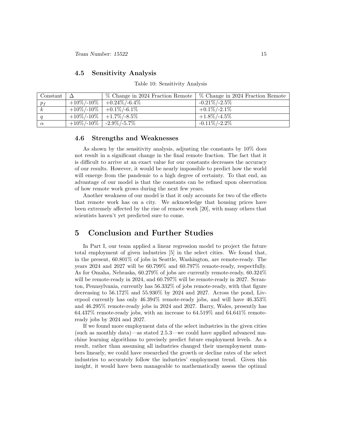#### <span id="page-15-0"></span>4.5 Sensitivity Analysis

#### Table 10: Sensitivity Analysis

| Constant        | % Change in 2024 Fraction Remote   % Change in 2024 Fraction Remote |                  |
|-----------------|---------------------------------------------------------------------|------------------|
| $\frac{p_f}{q}$ | $\frac{10\%}{10\%}$ -10% $+0.24\%$ /-6.4%                           | $-0.21\%/-2.5\%$ |
| $\mathbf{k}$    | $\frac{+10\%}{-10\%}$ +0.1\% -6.1\%                                 | $+0.1\%$ /-2.1\% |
|                 | $+10\%/-10\%$   $+1.7\%/-8.5\%$                                     | $+1.8\%/$ -4.5%  |
| $\alpha$        | $+10\%$ /-10\%   -2.9\%/-5.7\%                                      | $-0.11\%/-2.2\%$ |

#### <span id="page-15-1"></span>4.6 Strengths and Weaknesses

As shown by the sensitivity analysis, adjusting the constants by 10% does not result in a significant change in the final remote fraction. The fact that it is difficult to arrive at an exact value for our constants decreases the accuracy of our results. However, it would be nearly impossible to predict how the world will emerge from the pandemic to a high degree of certainty. To that end, an advantage of our model is that the constants can be refined upon observation of how remote work grows during the next few years.

Another weakness of our model is that it only accounts for two of the effects that remote work has on a city. We acknowledge that housing prices have been extremely affected by the rise of remote work [20], with many others that scientists haven't yet predicted sure to come.

#### <span id="page-15-2"></span>5 Conclusion and Further Studies

In Part I, our team applied a linear regression model to project the future total employment of given industries [5] in the select cities. We found that, in the present, 60.801% of jobs in Seattle, Washington, are remote-ready. The years 2024 and 2027 will be 60.799% and 60.797% remote-ready, respectfully. As for Omaha, Nebraska, 60.279% of jobs are currently remote-ready, 60.324% will be remote-ready in 2024, and 60.797% will be remote-ready in 2027. Scranton, Pennsylvania, currently has 56.332% of jobs remote-ready, with that figure decreasing to  $56.172\%$  and  $55.930\%$  by 2024 and 2027. Across the pond, Liverpool currently has only 46.394% remote-ready jobs, and will have 46.353% and 46.295% remote-ready jobs in 2024 and 2027. Barry, Wales, presently has 64.437% remote-ready jobs, with an increase to 64.519% and 64.641% remoteready jobs by 2024 and 2027.

If we found more employment data of the select industries in the given cities (such as monthly data)—as stated 2.5.3—we could have applied advanced machine learning algorithms to precisely predict future employment levels. As a result, rather than assuming all industries changed their unemployment numbers linearly, we could have researched the growth or decline rates of the select industries to accurately follow the industries' employment trend. Given this insight, it would have been manageable to mathematically assess the optimal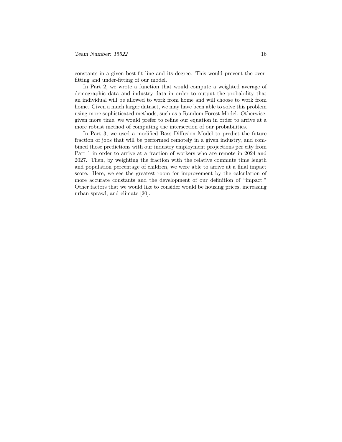constants in a given best-fit line and its degree. This would prevent the overfitting and under-fitting of our model.

In Part 2, we wrote a function that would compute a weighted average of demographic data and industry data in order to output the probability that an individual will be allowed to work from home and will choose to work from home. Given a much larger dataset, we may have been able to solve this problem using more sophisticated methods, such as a Random Forest Model. Otherwise, given more time, we would prefer to refine our equation in order to arrive at a more robust method of computing the intersection of our probabilities.

In Part 3, we used a modified Bass Diffusion Model to predict the future fraction of jobs that will be performed remotely in a given industry, and combined those predictions with our industry employment projections per city from Part 1 in order to arrive at a fraction of workers who are remote in 2024 and 2027. Then, by weighting the fraction with the relative commute time length and population percentage of children, we were able to arrive at a final impact score. Here, we see the greatest room for improvement by the calculation of more accurate constants and the development of our definition of "impact." Other factors that we would like to consider would be housing prices, increasing urban sprawl, and climate [20].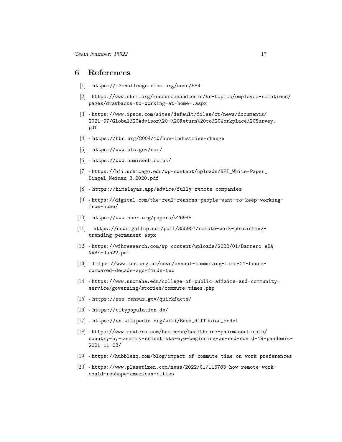#### <span id="page-17-0"></span>6 References

- [1] <https://m3challenge.siam.org/node/559>.
- [2] [https://www.shrm.org/resourcesandtools/hr-topics/employee-re](https://www.shrm.org/resourcesandtools/hr-topics/employee-relations/pages/drawbacks-to-working-at-home-.aspx)lations/ [pages/drawbacks-to-working-at-home-.aspx](https://www.shrm.org/resourcesandtools/hr-topics/employee-relations/pages/drawbacks-to-working-at-home-.aspx)
- [3] [https://www.ipsos.com/sites/default/files/ct/news/documents/](https://www.ipsos.com/sites/default/files/ct/news/documents/2021-07/Global%20Advisor%20-%20Return%20to%20Workplace%20Survey.pdf) [2021-07/Global%20Advisor%20-%20Return%20to%20Workplace%20Surv](https://www.ipsos.com/sites/default/files/ct/news/documents/2021-07/Global%20Advisor%20-%20Return%20to%20Workplace%20Survey.pdf)ey. [pdf](https://www.ipsos.com/sites/default/files/ct/news/documents/2021-07/Global%20Advisor%20-%20Return%20to%20Workplace%20Survey.pdf)
- [4] <https://hbr.org/2004/10/how-industries-change>
- [5] <https://www.bls.gov/sae/>
- [6] <https://www.nomisweb.co.uk/>
- [7] [https://bfi.uchicago.edu/wp-content/uploads/BFI\\_White-Paper\\_](https://bfi.uchicago.edu/wp-content/uploads/BFI_White-Paper_Dingel_Neiman_3.2020.pdf) [Dingel\\_Neiman\\_3.2020.pdf](https://bfi.uchicago.edu/wp-content/uploads/BFI_White-Paper_Dingel_Neiman_3.2020.pdf)
- [8] <https://himalayas.app/advice/fully-remote-companies>
- [9] [https://digital.com/the-real-reasons-people-want-to-keep-wor](https://digital.com/the-real-reasons-people-want-to-keep-working-from-home/)king[from-home/](https://digital.com/the-real-reasons-people-want-to-keep-working-from-home/)
- [10] <https://www.nber.org/papers/w26948>
- [11] [https://news.gallup.com/poll/355907/remote-work-persisting](https://news.gallup.com/poll/355907/remote-work-persisting-trending-permanent.aspx)[trending-permanent.aspx](https://news.gallup.com/poll/355907/remote-work-persisting-trending-permanent.aspx)
- [12] [https://wfhresearch.com/wp-content/uploads/2022/01/Barrero-A](https://wfhresearch.com/wp-content/uploads/2022/01/Barrero-AEA-NABE-Jan22.pdf)EA-[NABE-Jan22.pdf](https://wfhresearch.com/wp-content/uploads/2022/01/Barrero-AEA-NABE-Jan22.pdf)
- [13] [https://www.tuc.org.uk/news/annual-commuting-time-21-hours](https://www.tuc.org.uk/news/annual-commuting-time-21-hours-compared-decade-ago-finds-tuc)[compared-decade-ago-finds-tuc](https://www.tuc.org.uk/news/annual-commuting-time-21-hours-compared-decade-ago-finds-tuc)
- [14] [https://www.unomaha.edu/college-of-public-affairs-and-commun](https://www.unomaha.edu/college-of-public-affairs-and-community-service/governing/stories/commute-times.php)ity[service/governing/stories/commute-times.php](https://www.unomaha.edu/college-of-public-affairs-and-community-service/governing/stories/commute-times.php)
- [15] <https://www.census.gov/quickfacts/>
- [16] <https://citypopulation.de/>
- [17] [https://en.wikipedia.org/wiki/Bass\\_diffusion\\_model](https://en.wikipedia.org/wiki/Bass_diffusion_model)
- [18] [https://www.reuters.com/business/healthcare-pharmaceuticals/](https://www.reuters.com/business/healthcare-pharmaceuticals/country-by-country-scientists-eye-beginning-an-end-covid-19-pandemic-2021-11-03/) [country-by-country-scientists-eye-beginning-an-end-covid-19-p](https://www.reuters.com/business/healthcare-pharmaceuticals/country-by-country-scientists-eye-beginning-an-end-covid-19-pandemic-2021-11-03/)andemic-[2021-11-03/](https://www.reuters.com/business/healthcare-pharmaceuticals/country-by-country-scientists-eye-beginning-an-end-covid-19-pandemic-2021-11-03/)
- [19] <https://hubblehq.com/blog/impact-of-commute-time-on-work-preferences>
- [20] [https://www.planetizen.com/news/2022/01/115783-how-remote-wo](https://www.planetizen.com/news/2022/01/115783-how-remote-work-could-reshape-american-cities)rk[could-reshape-american-cities](https://www.planetizen.com/news/2022/01/115783-how-remote-work-could-reshape-american-cities)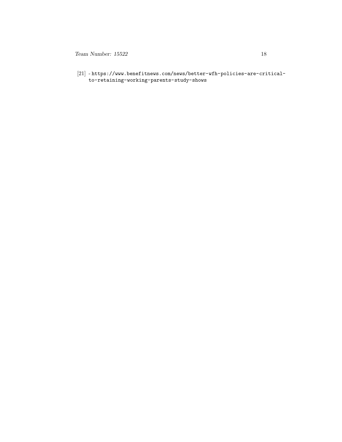$18$  Team Number: 15522

 $\left[ 21\right]$  -[https://www.benefitnews.com/news/better-wfh-policies-are-cri](https://www.benefitnews.com/news/better-wfh-policies-are-critical-to-retaining-working-parents-study-shows)tical[to-retaining-working-parents-study-shows](https://www.benefitnews.com/news/better-wfh-policies-are-critical-to-retaining-working-parents-study-shows)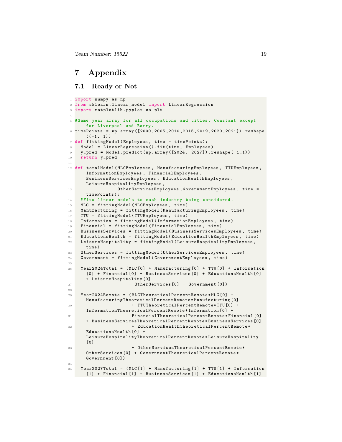Team Number: 15522 19

### <span id="page-19-0"></span>7 Appendix

#### <span id="page-19-1"></span>7.1 Ready or Not

```
1 import numpy as np
2 from sklearn . linear_model import LinearRegression
3 import matplotlib . pyplot as plt
 4
5 # Same year array for all occupations and cities . Constant except
      for Liverpool and Barry .
6 timePoints = np.array ([2000, 2005, 2010, 2015, 2019, 2020, 2021]).reshape
      ((-1, 1))7 def fittingModel ( Employees , time = timePoints ):
    Model = LinearRegression () . fit (time, Employees)
9 y_pred = Model.predict (np.array ([2024, 2027]).reshape (-1,1))
10 return y_pred
11
12 def totalModel (MLCEmployees, ManufacturingEmployees, TTUEmployees,
      InformationEmployees , FinancialEmployees ,
      BusinessServicesEmployees , EducationHealthEmployees ,
      LeisureHospitalityEmployees ,
13 OtherServicesEmployees, GovernmentEmployees, time =
      timePoints ):
14 # Fits linear models to each industry being considered .
15 MLC = fittingModel ( MLCEmployees , time )
16 Manufacturing = fittingModel ( ManufacturingEmployees , time )
17 TTU = fittingModel (TTUEmployees, time)
18 Information = fittingModel ( InformationEmployees , time )
19 Financial = fittingModel ( FinancialEmployees , time )
20 BusinessServices = fittingModel ( BusinessServicesEmployees , time )
21 EducationsHealth = fittingModel ( EducationHealthEmployees , time )
22 LeisureHospitality = fittingModel ( LeisureHospitalityEmployees ,
      time )
23 OtherServices = fittingModel ( OtherServicesEmployees , time )
24 Government = fittingModel ( GovernmentEmployees , time )
25
26 Year2024Total = (MLC[0] + Manufacturing [0] + TW[0] + Information
      [0] + Financial [0] + BusinessServices [0] + EducationsHealth [0]
      + LeisureHospitality [0]
27 + OtherServices [O] + Government [O])
28
29 Year2024Remote = ( MLCTheoreticalPercentRemote * MLC [0] +
      ManufacturingTheoreticalPercentRemote * Manufacturing [0]
30 + TTUTheoreticalPercentRemote * TTU [0] +
      InformationTheoreticalPercentRemote * Information [0] +
31 FinancialTheoreticalPercentRemote * Financial [0]
      + BusinessServicesTheoreticalPercentRemote * BusinessServices [0]
32 + EducationHealthTheoreticalPercentRemote *
      EducationsHealth [0] +
      LeisureHospitalityTheoreticalPercentRemote * LeisureHospitality
      [0]33 + OtherServicesTheoreticalPercentRemote *
      OtherServices [0] + GovernmentTheoreticalPercentRemote *
      Government [0])
34
35 Year2027Total = ( MLC [1] + Manufacturing [1] + TTU [1] + Information
      [1] + Financial [1] + BusinessServices [1] + EducationsHealth [1]
```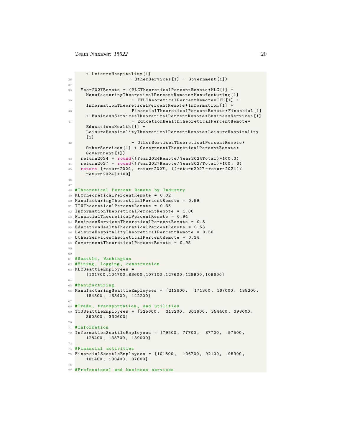```
+ LeisureHospitality [1]
36 + OtherServices [1] + Government [1])
37
38 Year2027Remote = ( MLCTheoreticalPercentRemote * MLC [1] +
      ManufacturingTheoreticalPercentRemote * Manufacturing [1]
39 + TTUTheoreticalPercentRemote *TTU [1] +
      InformationTheoreticalPercentRemote * Information [1] +
40 FinancialTheoreticalPercentRemote * Financial [1]
      + BusinessServicesTheoreticalPercentRemote * BusinessServices [1]
41 + EducationHealthTheoreticalPercentRemote *
      EducationsHealth [1] +
      LeisureHospitalityTheoreticalPercentRemote * LeisureHospitality
      [1]
42 + OtherServicesTheoreticalPercentRemote*
      OtherServices [1] + GovernmentTheoreticalPercentRemote *
      Government [1])
43 return2024 = round (( Year2024Remote / Year2024Total ) *100 ,3)
44 return2027 = round (( Year2027Remote / Year2027Total ) *100 , 3)
45 return [ return2024 , return2027 , (( return2027 - return2024 )/
      return2024 ) *100]
46
47
48 # Theoretical Percent Remote by Industry
49 MLCTheoreticalPercentRemote = 0.02
50 ManufacturingTheoreticalPercentRemote = 0.59
51 TTUTheoreticalPercentRemote = 0.35
52 InformationTheoreticalPercentRemote = 1.00
53 FinancialTheoreticalPercentRemote = 0.94
54 BusinessServicesTheoreticalPercentRemote = 0.8
55 EducationHealthTheoreticalPercentRemote = 0.53
56 LeisureHospitalityTheoreticalPercentRemote = 0.50
57 OtherServicesTheoreticalPercentRemote = 0.34
58 GovernmentTheoreticalPercentRemote = 0.95
59
60
61 # Seattle , Washington
62 # Mining , logging , construction
63 MLCSeattleEmployees =
      [101700 ,104700 ,83600 ,107100 ,127600 ,129900 ,109600]
64
65 # Manufacturing
66 ManufacturingSeattleEmployees = [212800 , 171300 , 167000 , 188200 ,
      184300 , 168400 , 142200]
67
68 #Trade , transportation , and utilities
69 TTUSeattleEmployees = [325600 , 313200 , 301600 , 354400 , 398000 ,
      390300 , 332600]
70
71 # Information
72 InformationSeattleEmployees = [79500 , 77700 , 87700 , 97500 ,
      128400 , 133700 , 139000]
73
74 # Financial activities
75 FinancialSeattleEmployees = [101800 , 106700 , 92100 , 95900 ,
      101400 , 100400 , 87600]
76
77 # Professional and business services
```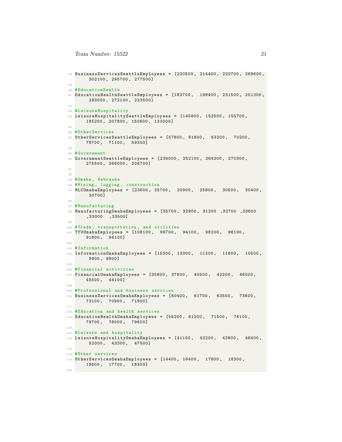```
78 BusinessServicesSeattleEmployees = [220500 , 214400 , 220700 , 268600 ,
        302100 , 295700 , 277500]
79
80 #EducationHealth
81 EducationHealthSeattleEmployees = [183700 , 198400 , 231500 , 251300 ,
        283000 , 272100 , 223500]
82
83 #LeisureHospitality
84 LeisureHospitalitySeattleEmployees = [145800 , 152500 , 155700 ,
       185200 , 207800 , 150600 , 133000]
85
86 # OtherServices
87 OtherServicesSeattleEmployees = [57800, 61800, 63200, 70200,78700 , 71100 , 59300]
88
89 # Government
90 GovernmentSeattleEmployees = [236000 , 252100 , 264200 , 270300 ,
       275500 , 266000 , 206700]
91
92
93 #Omaha , Nebraska
94 #Mining, logging, construction
95 MLCOmahaEmployees = [23500, 25700, 20900, 25800, 30500, 30400,
        30700]
96
97 #Manufacturing
98 ManufacturingOmahaEmployees = [35700 , 32900 , 31200 ,32700 ,33600
       ,33000 ,33500]
99100 #Trade , transportation , and utilities
101 TTUOmahaEmployees = [108100 , 99700 , 94100 , 98200 , 96100 ,
       91800 , 94100]
102
103 # Information
104 InformationOmahaEmployees = [15300 , 13300 , 11200 , 11600 , 10500 ,
        9900 , 9800]
105
106 # Financial activities
107 FinancialOmahaEmployees = [35800, 37600, 40500, 42200, 46000,
       45500 , 44100]
108
109 # Professional and business services
110 BusinessServicesOmahaEmployees = [60400 , 61700 , 63500 , 73600 ,
      73100 , 70900 , 71900]
111
112 # Education and health services
113 EducationHealthOmahaEmployees = [55200 , 61200 , 71500 , 76100 ,
       79700 , 78000 , 79600]
114
115 #Leisure and hospitality
116 LeisureHospitalityOmahaEmployees = [41100, 42200, 43800, 48400,
        52000 , 43300 , 47500]
117
118 # Other services
119 OtherServicesOmahaEmployees = [14400 , 16400 , 17800 , 18300 ,
      18600 , 17700 , 18300]
120
```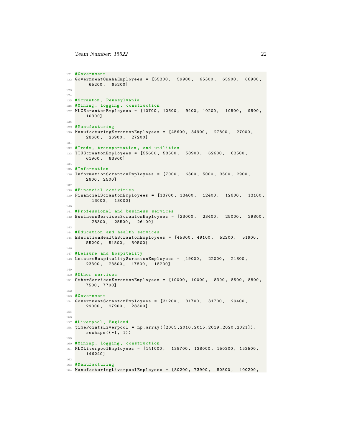```
121 #Government
122 GovernmentOmahaEmployees = [55300 , 59900 , 65300 , 65900 , 66900 ,
        65200 , 65200]
123
124
125 # Scranton , Pennsylvania
126 # Mining , logging , construction
127 MLCScrantonEmployees = [10700 , 10600 , 9400 , 10200 , 10500 , 9800 ,
       10300]
128
129 # Manufacturing
130 ManufacturingScrantonEmployees = [45600, 34900, 27800, 27000,28600 , 26900 , 27200]
131
132 #Trade , transportation , and utilities
133 TTUScrantonEmployees = [55600 , 58500 , 58900 , 62600 , 63500 ,
       61900 , 63900]
134
135 # Information
136 InformationScrantonEmployees = [7000 , 6300 , 5000 , 3500 , 2900 ,
       2600 , 2500]
137
138 # Financial activities
139 FinancialScrantonEmployees = [13700 , 13400 , 12400 , 12600 , 13100 ,
         13000 , 13000]
140
141 # Professional and business services
142 BusinessServicesScrantonEmployees = [23000, 23400, 25000, 29800,28300 , 25500 , 26100]
143
144 # Education and health services
145 EducationHealthScrantonEmployees = [45300, 49100, 52200, 51900,55200 , 51500 , 50500]
146
147 #Leisure and hospitality
148 LeisureHospitalityScrantonEmployees = [19000 , 22000 , 21800 ,
       23300 , 23500 , 17800 , 18200]
149
150 # Other services
151 OtherServicesScrantonEmployees = [10000 , 10000 , 8300 , 8500 , 8800 ,
       7500 , 7700]
152
153 # Government
154 GovernmentScrantonEmployees = [31200 , 31700 , 31700 , 29400 ,
       29000 , 27900 , 28300]
155
156
157 #Liverpool, England
158 timePointsLiverpool = np . array ([2005 ,2010 ,2015 ,2019 ,2020 ,2021]) .
       reshape ((-1, 1))159
160 # Mining , logging , construction
161 MLCLiverpoolEmployees = [141000 , 138700 , 138000 , 150300 , 153500 ,
       146240]
162
163 # Manufacturing
164 ManufacturingLiverpoolEmployees = [80200 , 73900 , 80500 , 100200 ,
```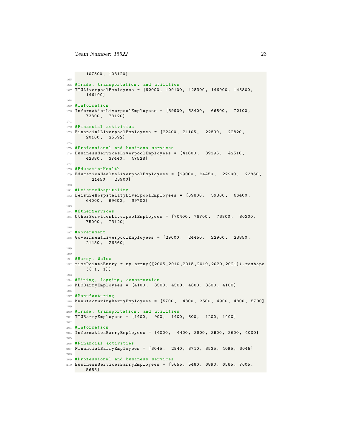```
107500 , 103120]
165
166 #Trade , transportation , and utilities
167 TTULiverpoolEmployees = [92000 , 109100 , 128300 , 146900 , 145800 ,
       146100]
168
169 # Information
170 InformationLiverpoolEmployees = [59900 , 68400 , 66800 , 72100 ,
       73300 , 73120]
171
172 #Financial activities
173 FinancialLiverpoolEmployees = [22400, 21105, 22890, 22820,20160 , 25592]
174
175 # Professional and business services
176 BusinessServicesLiverpoolEmployees = [41600 , 39195 , 42510 ,
       42380 , 37440 , 47528]
177
178 # Education Health
179 EducationHealthLiverpoolEmployees = [29000, 24450, 22900, 23850,21450 , 23900]
180
181 #LeisureHospitality
182 LeisureHospitalityLiverpoolEmployees = [69800 , 59800 , 66400 ,
       64000 , 69600 , 69700]
183
184 # OtherServices
185 OtherServicesLiverpoolEmployees = [70400 , 78700 , 73800 , 80200 ,
       75000 , 73120]
186
187 # Government
188 GovernmentLiverpoolEmployees = [29000 , 24450 , 22900 , 23850 ,
       21450 , 26560]
189
190
191 #Barry , Wales
192 timePointsBarry = np . array ([2005 ,2010 ,2015 ,2019 ,2020 ,2021]) . reshape
       ((-1, 1))193
194 # Mining , logging , construction
195 MLCBarryEmployees = [4100 , 3500 , 4500 , 4600 , 3300 , 4100]
196
197 #Manufacturing
198 ManufacturingBarryEmployees = [5700 , 4300 , 3500 , 4900 , 4800 , 5700]
199
200 #Trade , transportation , and utilities
201 TTUBarryEmployees = [1400 , 900 , 1400 , 800 , 1200 , 1400]
202
203 # Information
204 InformationBarryEmployees = [4000, 4400, 3800, 3900, 3600, 4000]205
206 # Financial activities
207 FinancialBarryEmployees = [3045 , 2940 , 3710 , 3535 , 4095 , 3045]
208
209 # Professional and business services
210 BusinessServicesBarryEmployees = [5655 , 5460 , 6890 , 6565 , 7605 ,
       5655]
```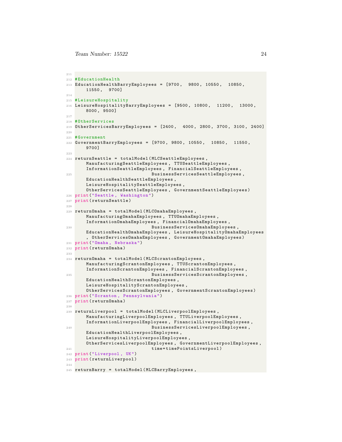```
211
212 # EducationHealth
213 EducationHealthBarryEmployees = [9700, 9800, 10550, 10850,11550 , 9700]
214
215 # LeisureHospitality
216 LeisureHospitalityBarryEmployees = [9500 , 10800 , 11200 , 13000 ,
       8000 , 9500]
217
218 # OtherServices
219 OtherServicesBarryEmployees = [2400 , 4000 , 2800 , 3700 , 3100 , 2400]
220
221 # Government
222 GovernmentBarryEmployees = [9700 , 9800 , 10550 , 10850 , 11550 ,
       9700]
223
224 returnSeattle = totalModel ( MLCSeattleEmployees ,
       ManufacturingSeattleEmployees , TTUSeattleEmployees ,
       InformationSeattleEmployees , FinancialSeattleEmployees ,
225 BusinessServicesSeattleEmployees ,
       EducationHealthSeattleEmployees ,
       LeisureHospitalitySeattleEmployees ,
       OtherServicesSeattleEmployees , GovernmentSeattleEmployees )
226 print (" Seattle , Washington ")
227 print ( returnSeattle )
228
229 returnOmaha = totalModel (MLCOmahaEmployees,
       ManufacturingOmahaEmployees , TTUOmahaEmployees ,
       InformationOmahaEmployees , FinancialOmahaEmployees ,
230 BusinessServicesOmahaEmployees,
       EducationHealthOmahaEmployees , LeisureHospitalityOmahaEmployees
       , OtherServicesOmahaEmployees , GovernmentOmahaEmployees )
231 print ("Omaha , Nebraska ")
232 print ( returnOmaha )
233
234 returnOmaha = totalModel ( MLCScrantonEmployees ,
       ManufacturingScrantonEmployees , TTUScrantonEmployees ,
       InformationScrantonEmployees , FinancialScrantonEmployees ,
235 BusinessServicesScrantonEmployees ,
       EducationHealthScrantonEmployees ,
       LeisureHospitalityScrantonEmployees ,
       OtherServicesScrantonEmployees , GovernmentScrantonEmployees )
236 print (" Scranton , Pennsylvania ")
237 print ( returnOmaha )
238
239 returnLiverpool = totalModel ( MLCLiverpoolEmployees ,
       ManufacturingLiverpoolEmployees , TTULiverpoolEmployees ,
       InformationLiverpoolEmployees , FinancialLiverpoolEmployees ,
240 BusinessServicesLiverpoolEmployees ,
       EducationHealthLiverpoolEmployees ,
       LeisureHospitalityLiverpoolEmployees ,
       OtherServicesLiverpoolEmployees , GovernmentLiverpoolEmployees ,
241 time = timePointsLiverpool )
242 print (" Liverpool , UK")
243 print ( returnLiverpool )
244
245 returnBarry = totalModel ( MLCBarryEmployees ,
```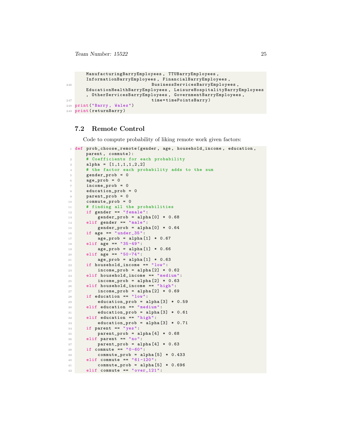```
ManufacturingBarryEmployees , TTUBarryEmployees ,
      InformationBarryEmployees , FinancialBarryEmployees ,
246 BusinessServicesBarryEmployees ,
      EducationHealthBarryEmployees , LeisureHospitalityBarryEmployees
      , OtherServicesBarryEmployees , GovernmentBarryEmployees ,
247 time=timePointsBarry)
248 print ("Barry , Wales ")
249 print ( returnBarry )
```
#### <span id="page-25-0"></span>7.2 Remote Control

Code to compute probability of liking remote work given factors:

```
1 def prob_choose_remote (gender, age, household_income, education,
     parent , commute ):
2 # Coefficients for each probability
3 alpha = [1,1,1,1,1,2,2]4 # the factor each probability adds to the sum
5 gender_prob = 0
6 \qquad \qquad \text{age\_prob} = 07 income_prob = 0
8 education_prob = 0
9 parent_prob = 0
10 commute_prob = 0
11 # finding all the probabilities
12 if gender == "female":
13 gender_prob = alpha[0] * 0.68
14 elif gender == "male":
15 gender_prob = alpha [0] * 0.64
16 if age == "under_35":
17 age_prob = alpha [1] * 0.6718 elif age == "35-49":
19 age_prob = alpha [1] * 0.66
20 elif age == "50 -74":
21 age_prob = alpha [1] * 0.63
22 if household_income == "\frac{1}{2}ow":
23 income_prob = alpha [2] * 0.62
24 elif household_income == " medium ":
25 income_prob = alpha [2] * 0.63
26 elif household_income == " high ":
27 income_prob = alpha [2] * 0.69
28 if education == "low":
29 education_prob = alpha [3] * 0.59
30 elif education == " medium ":
31 education_prob = alpha [3] * 0.61
32 elif education == "high":
33 education_prob = alpha [3] * 0.71
34 if parent == "yes":
35 parent_prob = alpha [4] * 0.68
36 elif parent == "no":
37 parent_prob = alpha [4] * 0.63
38 if commute == "0 - 60":
39 commute_prob = alpha [5] * 0.433
40 elif commute == " 61 -120 ":
41 commute_prob = alpha [5] * 0.696
42 elif commute == "over_121":
```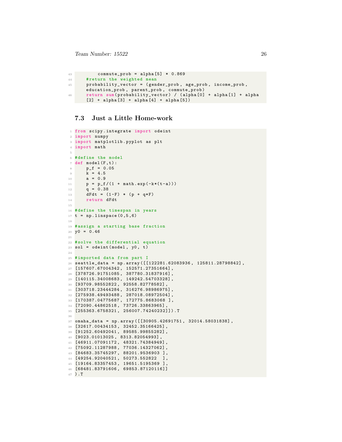```
43 commute_prob = alpha [5] * 0.869
44 # return the weighted mean
45 probability_vector = ( gender_prob , age_prob , income_prob ,
      education_prob , parent_prob , commute_prob )
46 return sum ( probability_vector ) / ( alpha [0] + alpha [1] + alpha
      [2] + alpha[3] + alpha[4] + alpha[5]
```
#### <span id="page-26-0"></span>7.3 Just a Little Home-work

```
1 from scipy . integrate import odeint
2 import numpy
3 import matplotlib . pyplot as plt
4 import math
5
6 # define the model
7 def model (F, t):
8 p_f = 0.05
9 k = 4.510 a = 0.9
11 p = p_f/(1 + math.exp(-k*(t-a)))q = 0.3813 dFdt = (1-F) * (p + q*F)14 return dFdt
15
16 # define the timespan in years
17 t = npu1inspace (0, 5, 6)18
19 # assign a starting base fraction
20 \text{ y0} = 0.4621
22 # solve the differential equation
23 sol = odeint (model, y0, t)
24
25 # imported data from part I
26 seattle_data = np . array ([[122281.62083936 , 125811.28798842] ,
27 [157607.67004342, 152571.27351664],
28 [378726.91751085 , 387780.31837916] ,
29 [140115.34008683 , 149242.54703328] ,
30 [93709.98552822 , 92558.82778582] ,
31 [303718.23444284 , 316276.98986975] ,
32 [275938.49493488, 287018.08972504],
33 [170387.04775687 , 172775.8683068 ],
34 [72090.44862518 , 73726.33863965] ,
35 [255363.6758321 , 256007.74240232]]) . T
36
37 omaha_data = np.array ([30905.42691751, 32014.58031838],
38 [32617.00434153 , 32452.35166425] ,
39 [91252.60492041 , 89585.99855282] ,
40 [9023.01013025 , 8313.82054993] ,
41 [46911.07091172 , 48321.74384949] ,
42 [75092.11287988 , 77036.14327062] ,
43 [84683.35745297 , 88201.9536903 ],
44 [49254.92040521 , 50273.552822 ],
45 [19164.83357453 , 19651.5195369 ],
46 [68481.83791606 , 69853.87120116]]
47 ).T
```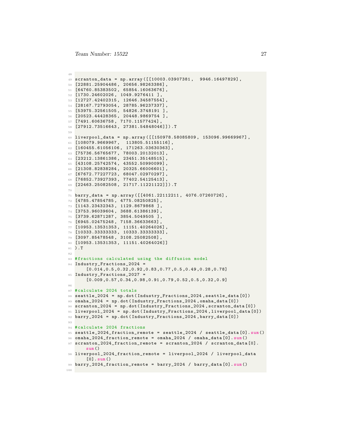```
48
49 scranton_data = np . array ([[10003.03907381 , 9946.16497829] ,
50 [22881.25904486 , 20656.98263386] ,
51 [64760.85383502 , 65854.16063676] ,
52 [1730.24602026 , 1049.9276411 ],
53 [12727.42402315 , 12646.34587554] ,
54 [28167.72793054 , 28785.96237337] ,
55 [53975.32561505 , 54826.3748191 ],
56 [20523.44428365 , 20448.9869754 ],
57 [7491.60636758, 7170.11577424],
58 [27912.73516643 , 27381.54848046]]) .T
59960 liverpool_data = np . array ([[150978.58085809 , 153096.99669967] ,
61 [108079.9669967, 113805.51155116],
62 [160455.61056106 , 171263.03630363] ,
63 [75736.56765677 , 78003.20132013] ,
64 [23212.13861386 , 23451.35148515] ,
65 [43108.25742574 , 43552.50990099] ,
66 [21308.82838284 , 20325.66006601] ,
67 [67672.77227723 , 68047.02970297] ,
68 [76852.73927393 , 77402.54125413] ,
69 [22463.25082508 , 21717.11221122]]) .T
70
71 barry_data = np . array ([[4061.22112211 , 4076.07260726] ,
72 [4785.47854785, 4775.08250825],
73 [1143.23432343 , 1129.8679868 ],
74 [3753.96039604 , 3688.61386139] ,
75 [3739.62871287 , 3854.5049505 ],
76 [6945.02475248 , 7158.36633663] ,
77 [10953.13531353 , 11151.40264026] ,
78 [10333.33333333 , 10333.33333333] ,
79 [3097.85478548 , 3108.25082508] ,
80 [10953.13531353 , 11151.40264026]]
81 ).T
82
83 # fractions calculated using the diffusion model
84 Industry_Fractions_2024 =
       [0.014 ,0.5 ,0.32 ,0.92 ,0.83 ,0.77 ,0.5 ,0.49 ,0.28 ,0.78]
85 Industry_Fractions_2027 =
       [0.009 ,0.57 ,0.34 ,0.98 ,0.91 ,0.79 ,0.52 ,0.5 ,0.32 ,0.9]
8687 #calculate 2024 totals
88 seattle_2024 = np . dot ( Industry_Fractions_2024 , seattle_data [0])
89 omaha_2024 = np.dot (Industry_Fractions_2024, omaha_data [0])
90 scranton_2024 = np . dot ( Industry_Fractions_2024 , scranton_data [0])
91 liverpool_2024 = np . dot ( Industry_Fractions_2024 , liverpool_data [0])
92 barry_2024 = np . dot ( Industry_Fractions_2024 , barry_data [0])
93
94 # calculate 2024 fractions
95 seattle_2024_fraction_remote = seattle_2024 / seattle_data [0]. sum ()
96 omaha_2024_fraction_remote = omaha_2024 / omaha_data [0]. sum ()
97 scranton_2024_fraction_remote = scranton_2024 / scranton_data [0].
       sum ()
98 liverpool_2024_fraction_remote = liverpool_2024 / liverpool_data
       [0]. sum ()
99 barry_2024_fraction_remote = barry_2024 / barry_data [0]. sum ()
100
```